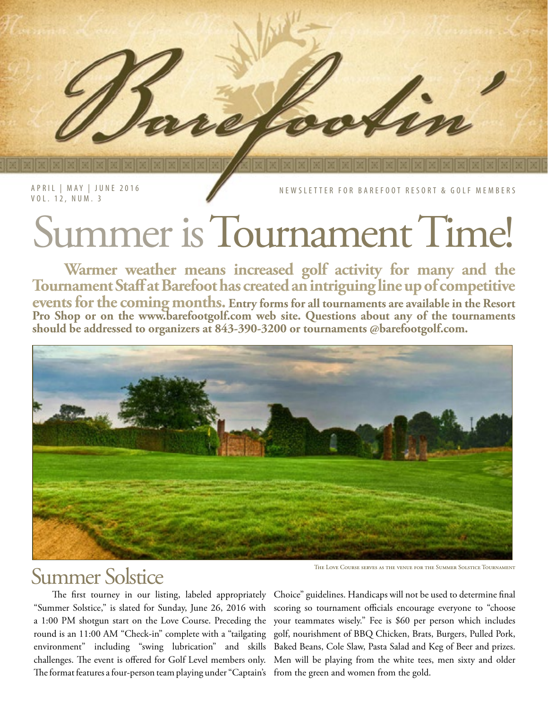APRIL | MAY | JUNE 2016 VOL. 12, NUM. 3

NEWSLETTER FOR BAREFOOT RESORT & GOLF MEMBERS

# Summer is Tournament Time!

**Warmer weather means increased golf activity for many and the Tournament Staff at Barefoot has created an intriguing line up of competitive events for the coming months. Entry forms for all tournaments are available in the Resort Pro Shop or on the www.barefootgolf.com web site. Questions about any of the tournaments should be addressed to organizers at 843-390-3200 or tournaments @barefootgolf.com.** 



# THE LOVE COURSE SERVES AS THE VENUE FOR THE SUMMER SOLSTICE TOURNAMENT THE LOVE COURSE SERVES AS THE VENUE FOR THE SUMMER SOLSTICE TOURNAMENT

a 1:00 PM shotgun start on the Love Course. Preceding the The format features a four-person team playing under "Captain's from the green and women from the gold.

 The first tourney in our listing, labeled appropriately Choice" guidelines. Handicaps will not be used to determine final "Summer Solstice," is slated for Sunday, June 26, 2016 with scoring so tournament officials encourage everyone to "choose round is an 11:00 AM "Check-in" complete with a "tailgating golf, nourishment of BBQ Chicken, Brats, Burgers, Pulled Pork, environment" including "swing lubrication" and skills Baked Beans, Cole Slaw, Pasta Salad and Keg of Beer and prizes. challenges. The event is offered for Golf Level members only. Men will be playing from the white tees, men sixty and older your teammates wisely." Fee is \$60 per person which includes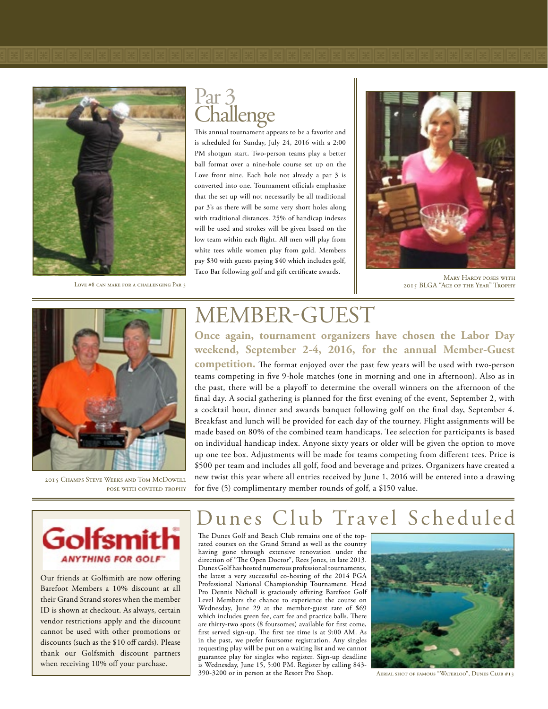LOVE #8 CAN MAKE FOR A CHALLENGING PAR 3

# $Part\frac{3}{21}$ **Challenge**

This annual tournament appears to be a favorite and is scheduled for Sunday, July 24, 2016 with a 2:00 PM shotgun start. Two-person teams play a better ball format over a nine-hole course set up on the Love front nine. Each hole not already a par 3 is converted into one. Tournament officials emphasize that the set up will not necessarily be all traditional par 3's as there will be some very short holes along with traditional distances. 25% of handicap indexes will be used and strokes will be given based on the low team within each flight. All men will play from white tees while women play from gold. Members pay \$30 with guests paying \$40 which includes golf, Taco Bar following golf and gift certificate awards.



Mary Hardy poses with 2015 BLGA "Ace of the Year" Trophy



2015 Champs Steve Weeks and Tom McDowell pose with coveted trophy

# MEMBER-GUEST

**Once again, tournament organizers have chosen the Labor Day weekend, September 2-4, 2016, for the annual Member-Guest** 

**competition.** The format enjoyed over the past few years will be used with two-person teams competing in five 9-hole matches (one in morning and one in afternoon). Also as in the past, there will be a playoff to determine the overall winners on the afternoon of the final day. A social gathering is planned for the first evening of the event, September 2, with a cocktail hour, dinner and awards banquet following golf on the final day, September 4. Breakfast and lunch will be provided for each day of the tourney. Flight assignments will be made based on 80% of the combined team handicaps. Tee selection for participants is based on individual handicap index. Anyone sixty years or older will be given the option to move up one tee box. Adjustments will be made for teams competing from different tees. Price is \$500 per team and includes all golf, food and beverage and prizes. Organizers have created a new twist this year where all entries received by June 1, 2016 will be entered into a drawing for five (5) complimentary member rounds of golf, a \$150 value.



Our friends at Golfsmith are now offering Barefoot Members a 10% discount at all their Grand Strand stores when the member ID is shown at checkout. As always, certain vendor restrictions apply and the discount cannot be used with other promotions or discounts (such as the \$10 off cards). Please thank our Golfsmith discount partners when receiving 10% off your purchase.

# unes Club Travel Scheduled

The Dunes Golf and Beach Club remains one of the toprated courses on the Grand Strand as well as the country having gone through extensive renovation under the direction of "The Open Doctor", Rees Jones, in late 2013. Dunes Golf has hosted numerous professional tournaments, the latest a very successful co-hosting of the 2014 PGA Professional National Championship Tournament. Head Pro Dennis Nicholl is graciously offering Barefoot Golf Level Members the chance to experience the course on Wednesday, June 29 at the member-guest rate of \$69 which includes green fee, cart fee and practice balls. There are thirty-two spots (8 foursomes) available for first come, first served sign-up. The first tee time is at 9:00 AM. As in the past, we prefer foursome registration. Any singles requesting play will be put on a waiting list and we cannot guarantee play for singles who register. Sign-up deadline is Wednesday, June 15, 5:00 PM. Register by calling 843- 390-3200 or in person at the Resort Pro Shop.



Aerial shot of famous "Waterloo", Dunes Club #13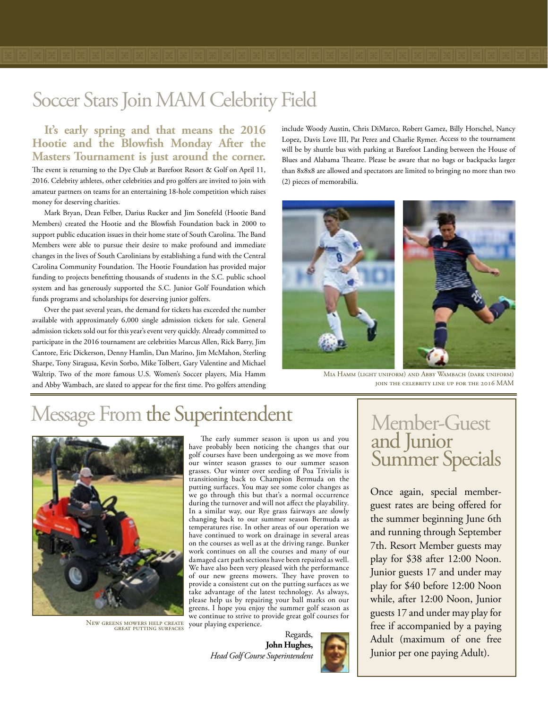**It's early spring and that means the 2016 Hootie and the Blowfish Monday After the Masters Tournament is just around the corner.** 

The event is returning to the Dye Club at Barefoot Resort & Golf on April 11, 2016. Celebrity athletes, other celebrities and pro golfers are invited to join with amateur partners on teams for an entertaining 18-hole competition which raises money for deserving charities.

Mark Bryan, Dean Felber, Darius Rucker and Jim Sonefeld (Hootie Band Members) created the Hootie and the Blowfish Foundation back in 2000 to support public education issues in their home state of South Carolina. The Band Members were able to pursue their desire to make profound and immediate changes in the lives of South Carolinians by establishing a fund with the Central Carolina Community Foundation. The Hootie Foundation has provided major funding to projects benefitting thousands of students in the S.C. public school system and has generously supported the S.C. Junior Golf Foundation which funds programs and scholarships for deserving junior golfers.

Over the past several years, the demand for tickets has exceeded the number available with approximately 6,000 single admission tickets for sale. General admission tickets sold out for this year's event very quickly. Already committed to participate in the 2016 tournament are celebrities Marcus Allen, Rick Barry, Jim Cantore, Eric Dickerson, Denny Hamlin, Dan Marino, Jim McMahon, Sterling Sharpe, Tony Siragusa, Kevin Sorbo, Mike Tolbert, Gary Valentine and Michael Waltrip. Two of the more famous U.S. Women's Soccer players, Mia Hamm and Abby Wambach, are slated to appear for the first time. Pro golfers attending include Woody Austin, Chris DiMarco, Robert Gamez, Billy Horschel, Nancy Lopez, Davis Love III, Pat Perez and Charlie Rymer. Access to the tournament will be by shuttle bus with parking at Barefoot Landing between the House of Blues and Alabama Theatre. Please be aware that no bags or backpacks larger than 8x8x8 are allowed and spectators are limited to bringing no more than two (2) pieces of memorabilia.



Mia Hamm (light uniform) and Abby Wambach (dark uniform) join the celebrity line up for the 2016 MAM

# Message From the Superintendent



New greens mowers help create great putting surfaces

The early summer season is upon us and you have probably been noticing the changes that our golf courses have been undergoing as we move from our winter season grasses to our summer season grasses. Our winter over seeding of Poa Trivialis is transitioning back to Champion Bermuda on the putting surfaces. You may see some color changes as we go through this but that's a normal occurrence during the turnover and will not affect the playability. In a similar way, our Rye grass fairways are slowly changing back to our summer season Bermuda as temperatures rise. In other areas of our operation we have continued to work on drainage in several areas on the courses as well as at the driving range. Bunker work continues on all the courses and many of our damaged cart path sections have been repaired as well. We have also been very pleased with the performance of our new greens mowers. They have proven to provide a consistent cut on the putting surfaces as we take advantage of the latest technology. As always, please help us by repairing your ball marks on our greens. I hope you enjoy the summer golf season as we continue to strive to provide great golf courses for your playing experience.

Regards, **John Hughes,** *Head Golf Course Superintendent*

# Member-Guest and Junior Summer Specials

Once again, special memberguest rates are being offered for the summer beginning June 6th and running through September 7th. Resort Member guests may play for \$38 after 12:00 Noon. Junior guests 17 and under may play for \$40 before 12:00 Noon while, after 12:00 Noon, Junior guests 17 and under may play for free if accompanied by a paying Adult (maximum of one free Junior per one paying Adult).